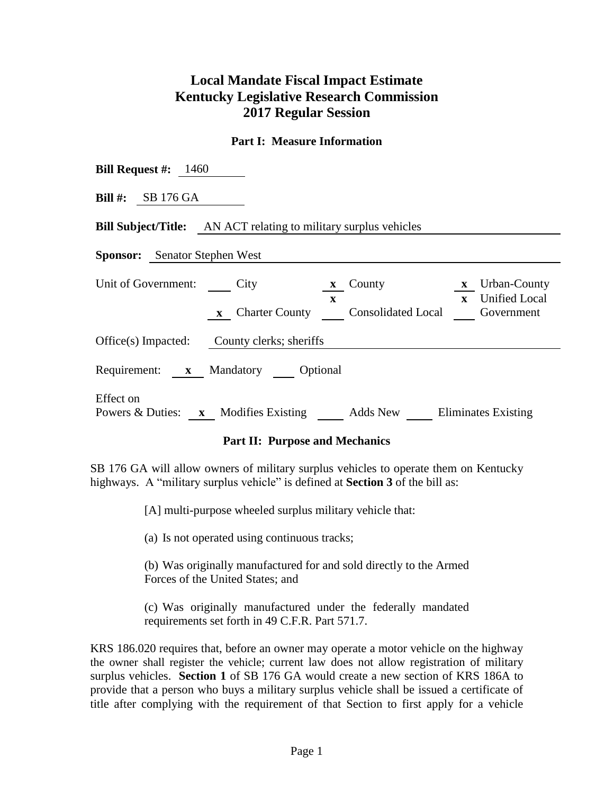# **Local Mandate Fiscal Impact Estimate Kentucky Legislative Research Commission 2017 Regular Session**

#### **Part I: Measure Information**

| <b>Bill Request #:</b> $1460$                                                                                                                                                                           |  |  |  |  |  |  |
|---------------------------------------------------------------------------------------------------------------------------------------------------------------------------------------------------------|--|--|--|--|--|--|
| Bill #: $SB 176 GA$                                                                                                                                                                                     |  |  |  |  |  |  |
| <b>Bill Subject/Title:</b> AN ACT relating to military surplus vehicles                                                                                                                                 |  |  |  |  |  |  |
| <b>Sponsor:</b> Senator Stephen West                                                                                                                                                                    |  |  |  |  |  |  |
| Unit of Government: City<br><b>x</b> Urban-County<br>$\boldsymbol{x}$ County<br><b>Unified Local</b><br>$\mathbf{x}$<br>$\mathbf{x}$<br>Charter County Consolidated Local<br>Government<br>$\mathbf{X}$ |  |  |  |  |  |  |
| Office(s) Impacted: County clerks; sheriffs                                                                                                                                                             |  |  |  |  |  |  |
| Requirement: x Mandatory Optional                                                                                                                                                                       |  |  |  |  |  |  |
| Effect on<br>Powers & Duties: $\mathbf{x}$ Modifies Existing<br>Adds New Eliminates Existing                                                                                                            |  |  |  |  |  |  |

### **Part II: Purpose and Mechanics**

SB 176 GA will allow owners of military surplus vehicles to operate them on Kentucky highways. A "military surplus vehicle" is defined at **Section 3** of the bill as:

[A] multi-purpose wheeled surplus military vehicle that:

(a) Is not operated using continuous tracks;

(b) Was originally manufactured for and sold directly to the Armed Forces of the United States; and

(c) Was originally manufactured under the federally mandated requirements set forth in 49 C.F.R. Part 571.7.

KRS 186.020 requires that, before an owner may operate a motor vehicle on the highway the owner shall register the vehicle; current law does not allow registration of military surplus vehicles. **Section 1** of SB 176 GA would create a new section of KRS 186A to provide that a person who buys a military surplus vehicle shall be issued a certificate of title after complying with the requirement of that Section to first apply for a vehicle